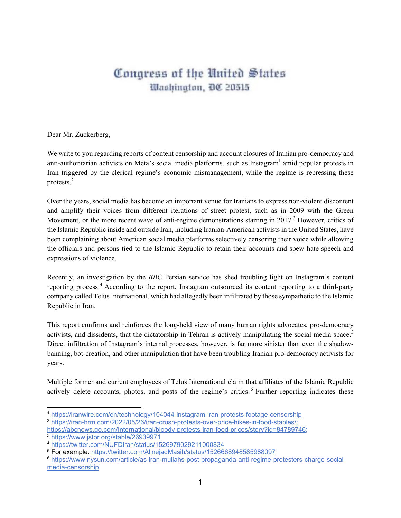## Congress of the United States Washington, DC 20515

Dear Mr. Zuckerberg,

We write to you regarding reports of content censorship and account closures of Iranian pro-democracy and anti-authoritarian activists on Meta's social media platforms, such as Instagram<sup>1</sup> amid popular protests in Iran triggered by the clerical regime's economic mismanagement, while the regime is repressing these protests. 2

Over the years, social media has become an important venue for Iranians to express non-violent discontent and amplify their voices from different iterations of street protest, such as in 2009 with the Green Movement, or the more recent wave of anti-regime demonstrations starting in 2017.<sup>3</sup> However, critics of the Islamic Republic inside and outside Iran, including Iranian-American activists in the United States, have been complaining about American social media platforms selectively censoring their voice while allowing the officials and persons tied to the Islamic Republic to retain their accounts and spew hate speech and expressions of violence.

Recently, an investigation by the *BBC* Persian service has shed troubling light on Instagram's content reporting process. <sup>4</sup> According to the report, Instagram outsourced its content reporting to a third-party company called Telus International, which had allegedly been infiltrated by those sympathetic to the Islamic Republic in Iran.

This report confirms and reinforces the long-held view of many human rights advocates, pro-democracy activists, and dissidents, that the dictatorship in Tehran is actively manipulating the social media space.<sup>5</sup> Direct infiltration of Instagram's internal processes, however, is far more sinister than even the shadowbanning, bot-creation, and other manipulation that have been troubling Iranian pro-democracy activists for years.

Multiple former and current employees of Telus International claim that affiliates of the Islamic Republic actively delete accounts, photos, and posts of the regime's critics. <sup>6</sup> Further reporting indicates these

<sup>1</sup> https://iranwire.com/en/technology/104044-instagram-iran-protests-footage-censorship

<sup>2</sup> https://iran-hrm.com/2022/05/26/iran-crush-protests-over-price-hikes-in-food-staples/; https://abcnews.go.com/International/bloody-protests-iran-food-prices/story?id=84789746;

<sup>3</sup> https://www.jstor.org/stable/26939971

<sup>4</sup> https://twitter.com/NUFDIran/status/1526979029211000834

<sup>5</sup> For example: https://twitter.com/AlinejadMasih/status/1526668948585988097

<sup>6</sup> https://www.nysun.com/article/as-iran-mullahs-post-propaganda-anti-regime-protesters-charge-socialmedia-censorship